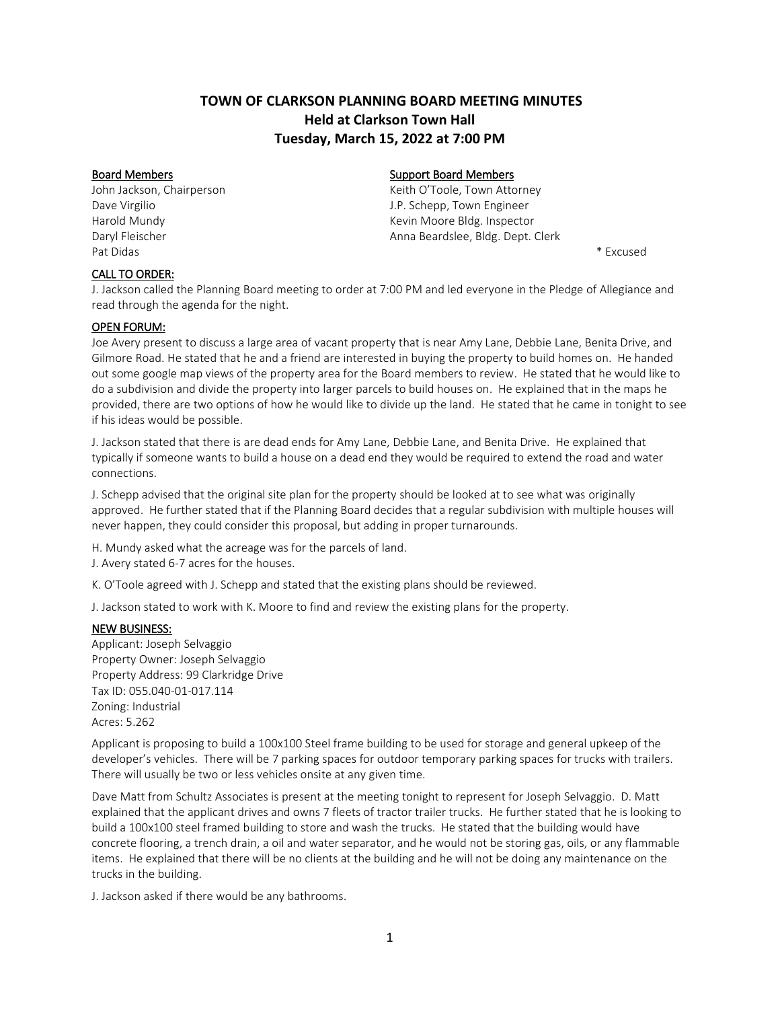# **TOWN OF CLARKSON PLANNING BOARD MEETING MINUTES Held at Clarkson Town Hall Tuesday, March 15, 2022 at 7:00 PM**

John Jackson, Chairperson **Keith O'Toole, Town Attorney** Pat Didas \* Excused

# Board Members **Support Board Members** Support Board Members

Dave Virgilio J.P. Schepp, Town Engineer Harold Mundy **Kevin Moore Bldg. Inspector Kevin Moore Bldg.** Inspector Daryl Fleischer Anna Beardslee, Bldg. Dept. Clerk

# CALL TO ORDER:

J. Jackson called the Planning Board meeting to order at 7:00 PM and led everyone in the Pledge of Allegiance and read through the agenda for the night.

### OPEN FORUM:

Joe Avery present to discuss a large area of vacant property that is near Amy Lane, Debbie Lane, Benita Drive, and Gilmore Road. He stated that he and a friend are interested in buying the property to build homes on. He handed out some google map views of the property area for the Board members to review. He stated that he would like to do a subdivision and divide the property into larger parcels to build houses on. He explained that in the maps he provided, there are two options of how he would like to divide up the land. He stated that he came in tonight to see if his ideas would be possible.

J. Jackson stated that there is are dead ends for Amy Lane, Debbie Lane, and Benita Drive. He explained that typically if someone wants to build a house on a dead end they would be required to extend the road and water connections.

J. Schepp advised that the original site plan for the property should be looked at to see what was originally approved. He further stated that if the Planning Board decides that a regular subdivision with multiple houses will never happen, they could consider this proposal, but adding in proper turnarounds.

H. Mundy asked what the acreage was for the parcels of land.

J. Avery stated 6-7 acres for the houses.

K. O'Toole agreed with J. Schepp and stated that the existing plans should be reviewed.

J. Jackson stated to work with K. Moore to find and review the existing plans for the property.

# NEW BUSINESS:

Applicant: Joseph Selvaggio Property Owner: Joseph Selvaggio Property Address: 99 Clarkridge Drive Tax ID: 055.040-01-017.114 Zoning: Industrial Acres: 5.262

Applicant is proposing to build a 100x100 Steel frame building to be used for storage and general upkeep of the developer's vehicles. There will be 7 parking spaces for outdoor temporary parking spaces for trucks with trailers. There will usually be two or less vehicles onsite at any given time.

Dave Matt from Schultz Associates is present at the meeting tonight to represent for Joseph Selvaggio. D. Matt explained that the applicant drives and owns 7 fleets of tractor trailer trucks. He further stated that he is looking to build a 100x100 steel framed building to store and wash the trucks. He stated that the building would have concrete flooring, a trench drain, a oil and water separator, and he would not be storing gas, oils, or any flammable items. He explained that there will be no clients at the building and he will not be doing any maintenance on the trucks in the building.

J. Jackson asked if there would be any bathrooms.